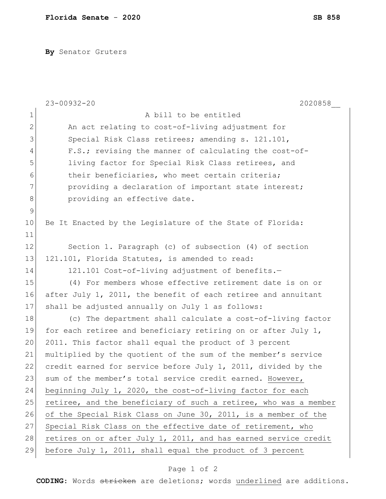**By** Senator Gruters

|              | $23 - 00932 - 20$<br>2020858                                     |
|--------------|------------------------------------------------------------------|
| $\mathbf 1$  | A bill to be entitled                                            |
| $\mathbf{2}$ | An act relating to cost-of-living adjustment for                 |
| 3            | Special Risk Class retirees; amending s. 121.101,                |
| 4            | F.S.; revising the manner of calculating the cost-of-            |
| 5            | living factor for Special Risk Class retirees, and               |
| 6            | their beneficiaries, who meet certain criteria;                  |
| 7            | providing a declaration of important state interest;             |
| 8            | providing an effective date.                                     |
| 9            |                                                                  |
| 10           | Be It Enacted by the Legislature of the State of Florida:        |
| 11           |                                                                  |
| 12           | Section 1. Paragraph (c) of subsection (4) of section            |
| 13           | 121.101, Florida Statutes, is amended to read:                   |
| 14           | 121.101 Cost-of-living adjustment of benefits.-                  |
| 15           | (4) For members whose effective retirement date is on or         |
| 16           | after July 1, 2011, the benefit of each retiree and annuitant    |
| 17           | shall be adjusted annually on July 1 as follows:                 |
| 18           | (c) The department shall calculate a cost-of-living factor       |
| 19           | for each retiree and beneficiary retiring on or after July 1,    |
| 20           | 2011. This factor shall equal the product of 3 percent           |
| 21           | multiplied by the quotient of the sum of the member's service    |
| 22           | credit earned for service before July 1, 2011, divided by the    |
| 23           | sum of the member's total service credit earned. However,        |
| 24           | beginning July 1, 2020, the cost-of-living factor for each       |
| 25           | retiree, and the beneficiary of such a retiree, who was a member |
| 26           | of the Special Risk Class on June 30, 2011, is a member of the   |
| 27           | Special Risk Class on the effective date of retirement, who      |
| 28           | retires on or after July 1, 2011, and has earned service credit  |
| 29           | before July 1, 2011, shall equal the product of 3 percent        |

## Page 1 of 2

**CODING**: Words stricken are deletions; words underlined are additions.